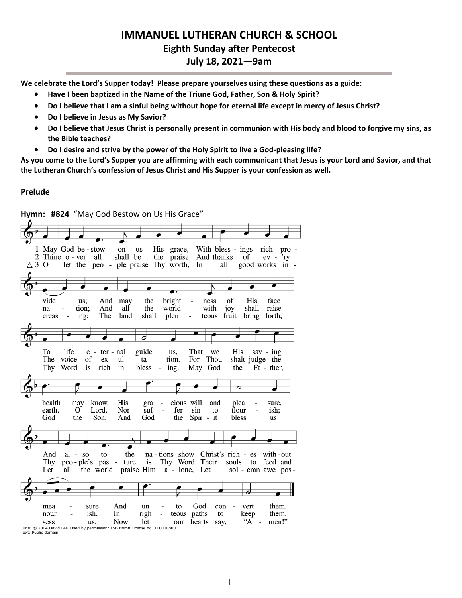# **IMMANUEL LUTHERAN CHURCH & SCHOOL Eighth Sunday after Pentecost July 18, 2021—9am**

**We celebrate the Lord's Supper today! Please prepare yourselves using these questions as a guide:**

- **Have I been baptized in the Name of the Triune God, Father, Son & Holy Spirit?**
- **Do I believe that I am a sinful being without hope for eternal life except in mercy of Jesus Christ?**
- **Do I believe in Jesus as My Savior?**
- **Do I believe that Jesus Christ is personally present in communion with His body and blood to forgive my sins, as the Bible teaches?**
- **Do I desire and strive by the power of the Holy Spirit to live a God-pleasing life?**

**As you come to the Lord's Supper you are affirming with each communicant that Jesus is your Lord and Savior, and that the Lutheran Church's confession of Jesus Christ and His Supper is your confession as well.**

#### **Prelude**



Text: Public domain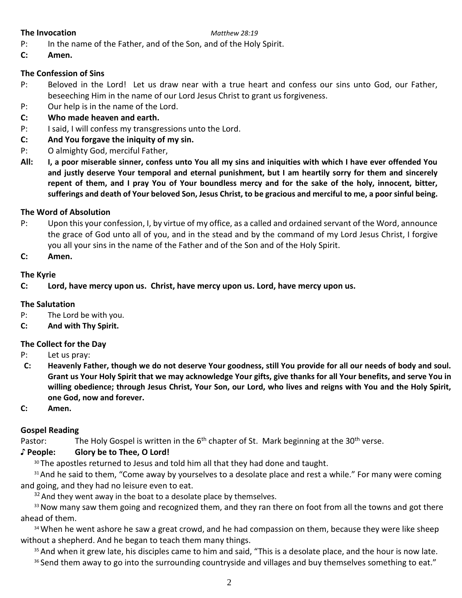## **The Invocation** *Matthew 28:19*

- P: In the name of the Father, and of the Son, and of the Holy Spirit.
- **C: Amen.**

## **The Confession of Sins**

- P: Beloved in the Lord! Let us draw near with a true heart and confess our sins unto God, our Father, beseeching Him in the name of our Lord Jesus Christ to grant us forgiveness.
- P: Our help is in the name of the Lord.
- **C: Who made heaven and earth.**
- P: I said, I will confess my transgressions unto the Lord.
- **C: And You forgave the iniquity of my sin.**
- P: O almighty God, merciful Father,
- **All: I, a poor miserable sinner, confess unto You all my sins and iniquities with which I have ever offended You and justly deserve Your temporal and eternal punishment, but I am heartily sorry for them and sincerely repent of them, and I pray You of Your boundless mercy and for the sake of the holy, innocent, bitter, sufferings and death of Your beloved Son, Jesus Christ, to be gracious and merciful to me, a poor sinful being.**

## **The Word of Absolution**

- P: Upon this your confession, I, by virtue of my office, as a called and ordained servant of the Word, announce the grace of God unto all of you, and in the stead and by the command of my Lord Jesus Christ, I forgive you all your sins in the name of the Father and of the Son and of the Holy Spirit.
- **C: Amen.**

## **The Kyrie**

**C: Lord, have mercy upon us. Christ, have mercy upon us. Lord, have mercy upon us.**

## **The Salutation**

- P: The Lord be with you.
- **C: And with Thy Spirit.**

## **The Collect for the Day**

- P: Let us pray:
- **C: Heavenly Father, though we do not deserve Your goodness, still You provide for all our needs of body and soul. Grant us Your Holy Spirit that we may acknowledge Your gifts, give thanks for all Your benefits, and serve You in willing obedience; through Jesus Christ, Your Son, our Lord, who lives and reigns with You and the Holy Spirit, one God, now and forever.**
- **C: Amen.**

## **Gospel Reading**

Pastor: The Holy Gospel is written in the 6<sup>th</sup> chapter of St. Mark beginning at the 30<sup>th</sup> verse.

## **♪ People: Glory be to Thee, O Lord!**

30 The apostles returned to Jesus and told him all that they had done and taught.

<sup>31</sup> And he said to them, "Come away by yourselves to a desolate place and rest a while." For many were coming and going, and they had no leisure even to eat.

 $32$  And they went away in the boat to a desolate place by themselves.

<sup>33</sup> Now many saw them going and recognized them, and they ran there on foot from all the towns and got there ahead of them.

<sup>34</sup> When he went ashore he saw a great crowd, and he had compassion on them, because they were like sheep without a shepherd. And he began to teach them many things.

<sup>35</sup> And when it grew late, his disciples came to him and said, "This is a desolate place, and the hour is now late. 36 Send them away to go into the surrounding countryside and villages and buy themselves something to eat."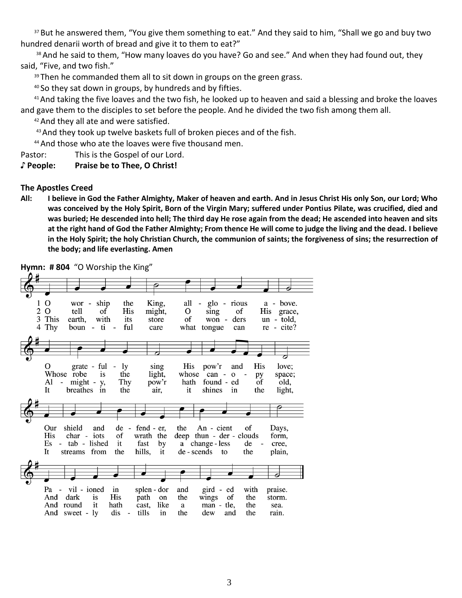<sup>37</sup> But he answered them, "You give them something to eat." And they said to him, "Shall we go and buy two hundred denarii worth of bread and give it to them to eat?"

38 And he said to them, "How many loaves do you have? Go and see." And when they had found out, they said, "Five, and two fish."

 $39$  Then he commanded them all to sit down in groups on the green grass.

<sup>40</sup> So they sat down in groups, by hundreds and by fifties.

<sup>41</sup> And taking the five loaves and the two fish, he looked up to heaven and said a blessing and broke the loaves and gave them to the disciples to set before the people. And he divided the two fish among them all.

<sup>42</sup> And they all ate and were satisfied.

43 And they took up twelve baskets full of broken pieces and of the fish.

<sup>44</sup> And those who ate the loaves were five thousand men.

Pastor: This is the Gospel of our Lord.

**♪ People: Praise be to Thee, O Christ!**

#### **The Apostles Creed**

**All: I believe in God the Father Almighty, Maker of heaven and earth. And in Jesus Christ His only Son, our Lord; Who was conceived by the Holy Spirit, Born of the Virgin Mary; suffered under Pontius Pilate, was crucified, died and was buried; He descended into hell; The third day He rose again from the dead; He ascended into heaven and sits at the right hand of God the Father Almighty; From thence He will come to judge the living and the dead. I believe in the Holy Spirit; the holy Christian Church, the communion of saints; the forgiveness of sins; the resurrection of the body; and life everlasting. Amen**

**Hymn: # 804** "O Worship the King"

| 1              | O                              | wor -          | ship<br>the                           | King,              | all         | glo - rious<br>$\overline{\phantom{a}}$ |                      | a - bove.    |
|----------------|--------------------------------|----------------|---------------------------------------|--------------------|-------------|-----------------------------------------|----------------------|--------------|
| $\overline{2}$ | $\Omega$                       | tell           | His<br>οf                             | might,             | O           | sing                                    | of                   | His grace,   |
| 3              | This                           | earth,         | with<br>its                           | store              | of          | won -                                   | ders                 | $un - told,$ |
|                | 4 Thy                          | boun           | ful<br>- ti<br>$\sim$                 | care               | what        | tongue                                  | can                  | $re - cite?$ |
|                |                                |                |                                       |                    |             |                                         |                      |              |
|                |                                |                |                                       |                    |             |                                         |                      |              |
|                |                                |                |                                       |                    |             |                                         |                      |              |
|                |                                |                |                                       |                    |             |                                         |                      |              |
|                |                                |                |                                       |                    |             |                                         |                      |              |
|                | O                              | grate -        | ful<br>1y<br>$\overline{\phantom{a}}$ | sing               | His         | pow'r<br>and                            | His                  | love;        |
|                |                                | Whose robe     | is<br>the                             | light,             | whose       | can -<br>$\mathbf{o}$                   | pу<br>$\overline{a}$ | space;       |
|                | Al<br>$\overline{\phantom{a}}$ | might -        | Thy<br>у,                             | pow'r              | hath        | found - ed                              | οf                   | old,         |
|                | It                             | breathes       | the<br>in                             | air,               | it          | shines<br>in                            | the                  | light,       |
|                |                                |                |                                       |                    |             |                                         |                      |              |
|                |                                |                |                                       |                    |             |                                         |                      |              |
|                |                                |                |                                       |                    |             |                                         |                      |              |
|                |                                |                |                                       |                    |             |                                         |                      |              |
|                | Our                            | shield         | and                                   | $de - fend - er$ , | the         | An - cient                              | of                   | Days,        |
|                | His                            | char - iots    | of                                    | wrath the          |             | deep thun - der - clouds                |                      | form,        |
|                |                                |                |                                       |                    |             |                                         |                      |              |
|                | Es                             | - tab - lished | it                                    | fast<br>by         |             | a change - less                         | de                   | cree.        |
|                | It                             | streams        | from<br>the                           | hills,<br>it       | de - scends | to                                      | the                  | plain,       |
|                |                                |                |                                       |                    |             |                                         |                      |              |
|                |                                |                |                                       |                    |             |                                         |                      |              |
|                |                                |                |                                       |                    |             |                                         |                      |              |
|                |                                |                |                                       |                    |             |                                         |                      |              |
|                | $Pa -$                         | vil - ioned    | in                                    | splen - dor        | and         | gird -<br>ed                            | with                 | praise.      |
|                | And                            | dark<br>is     | His                                   | path<br>on         | the         | wings<br>οf                             | the                  | storm.       |
|                | And                            | it<br>round    | hath                                  | like<br>cast.      | a           | tle,<br>man -                           | the                  | sea.         |
|                | And                            | sweet - ly     | dis<br>$\frac{1}{2}$                  | tills<br>in        | the         | dew<br>and                              | the                  | rain.        |
|                |                                |                |                                       |                    |             |                                         |                      |              |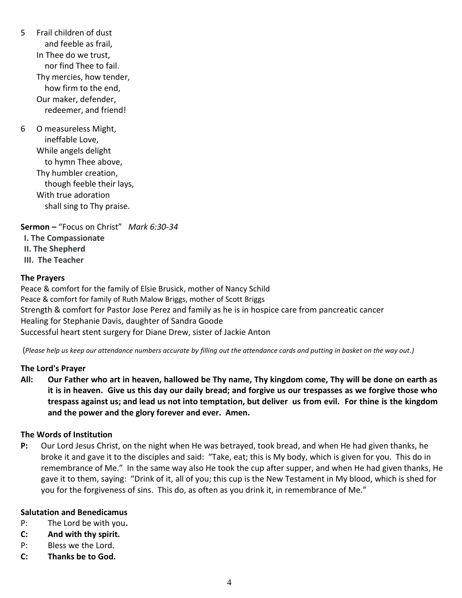- 5 Frail children of dust and feeble as frail, In Thee do we trust, nor find Thee to fail. Thy mercies, how tender, how firm to the end, Our maker, defender, redeemer, and friend!
- 6 O measureless Might, ineffable Love, While angels delight to hymn Thee above, Thy humbler creation, though feeble their lays, With true adoration shall sing to Thy praise.

**Sermon –** "Focus on Christ"*Mark 6:30-34* **I. The Compassionate II. The Shepherd III. The Teacher**

### **The Prayers**

Peace & comfort for the family of Elsie Brusick, mother of Nancy Schild Peace & comfort for family of Ruth Malow Briggs, mother of Scott Briggs Strength & comfort for Pastor Jose Perez and family as he is in hospice care from pancreatic cancer Healing for Stephanie Davis, daughter of Sandra Goode Successful heart stent surgery for Diane Drew, sister of Jackie Anton

(*Please help us keep our attendance numbers accurate by filling out the attendance cards and putting in basket on the way out.)*

### **The Lord's Prayer**

**All: Our Father who art in heaven, hallowed be Thy name, Thy kingdom come, Thy will be done on earth as it is in heaven. Give us this day our daily bread; and forgive us our trespasses as we forgive those who trespass against us; and lead us not into temptation, but deliver us from evil. For thine is the kingdom and the power and the glory forever and ever. Amen.**

#### **The Words of Institution**

**P:** Our Lord Jesus Christ, on the night when He was betrayed, took bread, and when He had given thanks, he broke it and gave it to the disciples and said: "Take, eat; this is My body, which is given for you. This do in remembrance of Me." In the same way also He took the cup after supper, and when He had given thanks, He gave it to them, saying: "Drink of it, all of you; this cup is the New Testament in My blood, which is shed for you for the forgiveness of sins. This do, as often as you drink it, in remembrance of Me."

#### **Salutation and Benedicamus**

- P: The Lord be with you**.**
- **C: And with thy spirit.**
- P: Bless we the Lord.
- **C: Thanks be to God.**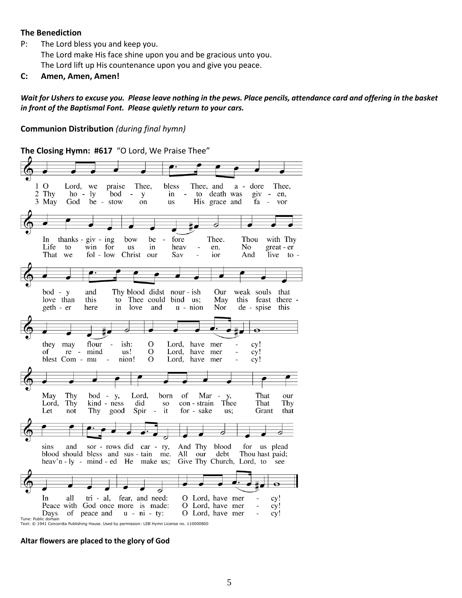### **The Benediction**

- P: The Lord bless you and keep you. The Lord make His face shine upon you and be gracious unto you. The Lord lift up His countenance upon you and give you peace.
- **C: Amen, Amen, Amen!**

*Wait for Ushers to excuse you. Please leave nothing in the pews. Place pencils, attendance card and offering in the basket in front of the Baptismal Font. Please quietly return to your cars.* 

**Communion Distribution** *(during final hymn)*

**The Closing Hymn: #617** "O Lord, We Praise Thee"  $1\Omega$ Lord, we praise Thee, bless Thee, and  $a$ dore Thee, 2 Thy  $ho - ly$ bod y in  $\sim$ to death was  $giv - en$ , 3 May God be - stow His grace and  $\mathcal{L}_{\mathcal{A}}$ on us fa vor In thanks -  $giv - ing$ bow be fore Thee. Thou with Thy Life to win for **us** in heav en. No. great - er That we fol - low Christ Sav ior And live to our  $bod - y$ and Thy blood didst nour - ish Our weak souls that this Thee could bind us; May this feast there love than to geth - er here in love and  $u - ni$ on Nor de - spise this -J B  $\Theta$ flour  $\mathcal{O}$ they may ish: Lord, have mer cy! mind  $\overline{O}$ Lord, have mer of re us! cy!  $\overline{O}$ blest Com - mu nion! Lord, have mer  $cy!$ May Thy bod - y, Lord, Mar -That our born of у, Lord, Thy kind - ness Thee That did con - strain Thy  $SO<sub>2</sub>$ Let not Thy good Spir  $\sim$ it for - sake us; Grant that sins sor - rows did car - ry, And Thy blood for us plead and blood should bless and sus - tain me. All our debt Thou hast paid; heav'n-ly-mind-ed He make us; Give Thy Church, Lord, to see  $\overline{\mathbf{o}}$ tri - al, fear, and need: O Lord, have mer In all cy! Peace with God once more is made: O Lord, have mer cy! O Lord, have mer of peace and  $u - ni - ty$ : cy! Days Tune: Public domain Text: © 1941 Concordia Publishing House. Used by permission: LSB Hymn License no. 110000800

#### **Altar flowers are placed to the glory of God**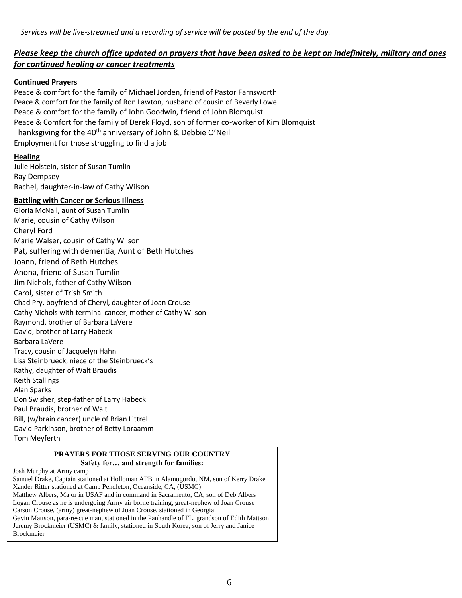## *Please keep the church office updated on prayers that have been asked to be kept on indefinitely, military and ones for continued healing or cancer treatments*

#### **Continued Prayers**

Peace & comfort for the family of Michael Jorden, friend of Pastor Farnsworth Peace & comfort for the family of Ron Lawton, husband of cousin of Beverly Lowe Peace & comfort for the family of John Goodwin, friend of John Blomquist Peace & Comfort for the family of Derek Floyd, son of former co-worker of Kim Blomquist Thanksgiving for the 40<sup>th</sup> anniversary of John & Debbie O'Neil Employment for those struggling to find a job

#### **Healing**

Julie Holstein, sister of Susan Tumlin Ray Dempsey Rachel, daughter-in-law of Cathy Wilson

#### **Battling with Cancer or Serious Illness**

Gloria McNail, aunt of Susan Tumlin Marie, cousin of Cathy Wilson Cheryl Ford Marie Walser, cousin of Cathy Wilson Pat, suffering with dementia, Aunt of Beth Hutches Joann, friend of Beth Hutches Anona, friend of Susan Tumlin Jim Nichols, father of Cathy Wilson Carol, sister of Trish Smith Chad Pry, boyfriend of Cheryl, daughter of Joan Crouse Cathy Nichols with terminal cancer, mother of Cathy Wilson Raymond, brother of Barbara LaVere David, brother of Larry Habeck Barbara LaVere Tracy, cousin of Jacquelyn Hahn Lisa Steinbrueck, niece of the Steinbrueck's Kathy, daughter of Walt Braudis Keith Stallings Alan Sparks Don Swisher, step-father of Larry Habeck Paul Braudis, brother of Walt Bill, (w/brain cancer) uncle of Brian Littrel David Parkinson, brother of Betty Loraamm Tom Meyferth

#### **PRAYERS FOR THOSE SERVING OUR COUNTRY Safety for… and strength for families:**

Josh Murphy at Army camp

Samuel Drake, Captain stationed at Holloman AFB in Alamogordo, NM, son of Kerry Drake Xander Ritter stationed at Camp Pendleton, Oceanside, CA, (USMC) Matthew Albers, Major in USAF and in command in Sacramento, CA, son of Deb Albers Logan Crouse as he is undergoing Army air borne training, great-nephew of Joan Crouse Carson Crouse, (army) great-nephew of Joan Crouse, stationed in Georgia Gavin Mattson, para-rescue man, stationed in the Panhandle of FL, grandson of Edith Mattson Jeremy Brockmeier (USMC) & family, stationed in South Korea, son of Jerry and Janice Brockmeier